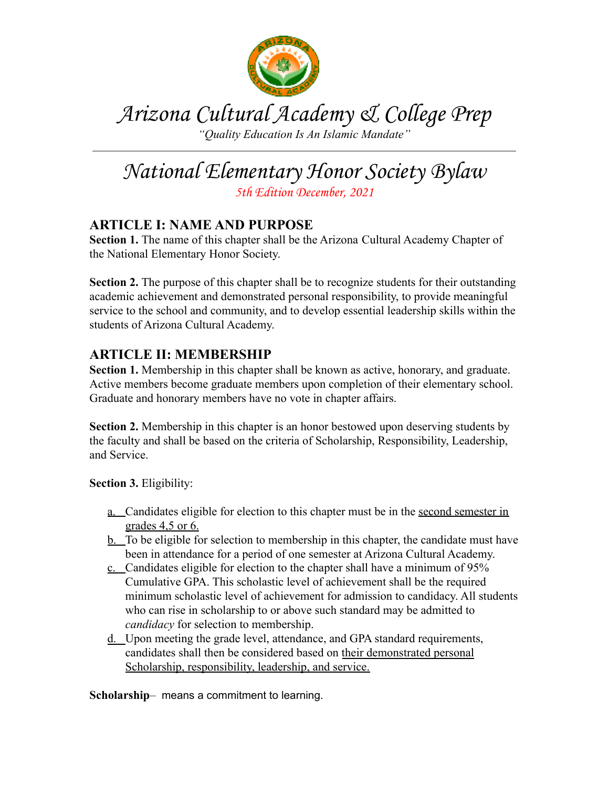

Arizona Cultural Academy & College Prep

*"Quality Education Is An Islamic Mandate"*

# National Elementary Honor Society Bylaw 5th Edition December, 2021

# **ARTICLE I: NAME AND PURPOSE**

**Section 1.** The name of this chapter shall be the Arizona Cultural Academy Chapter of the National Elementary Honor Society.

**Section 2.** The purpose of this chapter shall be to recognize students for their outstanding academic achievement and demonstrated personal responsibility, to provide meaningful service to the school and community, and to develop essential leadership skills within the students of Arizona Cultural Academy.

# **ARTICLE II: MEMBERSHIP**

**Section 1.** Membership in this chapter shall be known as active, honorary, and graduate. Active members become graduate members upon completion of their elementary school. Graduate and honorary members have no vote in chapter affairs.

**Section 2.** Membership in this chapter is an honor bestowed upon deserving students by the faculty and shall be based on the criteria of Scholarship, Responsibility, Leadership, and Service.

**Section 3.** Eligibility:

- a. Candidates eligible for election to this chapter must be in the second semester in grades 4,5 or 6.
- b. To be eligible for selection to membership in this chapter, the candidate must have been in attendance for a period of one semester at Arizona Cultural Academy.
- c. Candidates eligible for election to the chapter shall have a minimum of 95% Cumulative GPA. This scholastic level of achievement shall be the required minimum scholastic level of achievement for admission to candidacy. All students who can rise in scholarship to or above such standard may be admitted to *candidacy* for selection to membership.
- d. Upon meeting the grade level, attendance, and GPA standard requirements, candidates shall then be considered based on their demonstrated personal Scholarship, responsibility, leadership, and service.

**Scholarship***–* means a commitment to learning.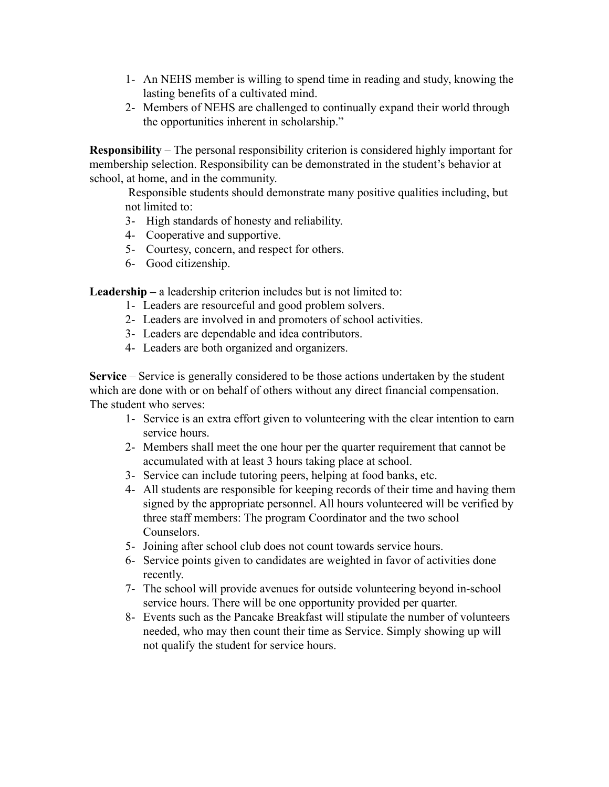- 1- An NEHS member is willing to spend time in reading and study, knowing the lasting benefits of a cultivated mind.
- 2- Members of NEHS are challenged to continually expand their world through the opportunities inherent in scholarship."

**Responsibility** *–* The personal responsibility criterion is considered highly important for membership selection. Responsibility can be demonstrated in the student's behavior at school, at home, and in the community.

Responsible students should demonstrate many positive qualities including, but not limited to:

- 3- High standards of honesty and reliability.
- 4- Cooperative and supportive.
- 5- Courtesy, concern, and respect for others.
- 6- Good citizenship.

**Leadership –** a leadership criterion includes but is not limited to:

- 1- Leaders are resourceful and good problem solvers.
- 2- Leaders are involved in and promoters of school activities.
- 3- Leaders are dependable and idea contributors.
- 4- Leaders are both organized and organizers.

**Service** – Service is generally considered to be those actions undertaken by the student which are done with or on behalf of others without any direct financial compensation. The student who serves:

- 1- Service is an extra effort given to volunteering with the clear intention to earn service hours.
- 2- Members shall meet the one hour per the quarter requirement that cannot be accumulated with at least 3 hours taking place at school.
- 3- Service can include tutoring peers, helping at food banks, etc.
- 4- All students are responsible for keeping records of their time and having them signed by the appropriate personnel. All hours volunteered will be verified by three staff members: The program Coordinator and the two school Counselors.
- 5- Joining after school club does not count towards service hours.
- 6- Service points given to candidates are weighted in favor of activities done recently.
- 7- The school will provide avenues for outside volunteering beyond in-school service hours. There will be one opportunity provided per quarter.
- 8- Events such as the Pancake Breakfast will stipulate the number of volunteers needed, who may then count their time as Service. Simply showing up will not qualify the student for service hours.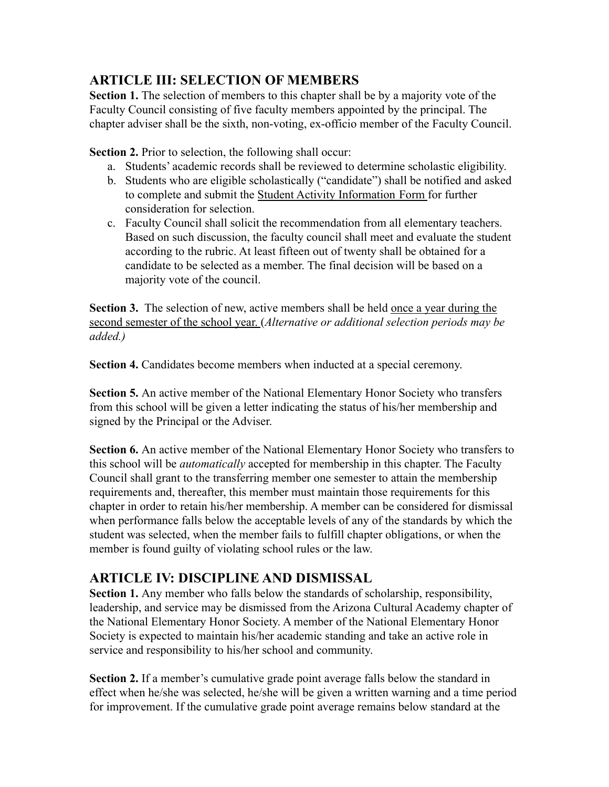# **ARTICLE III: SELECTION OF MEMBERS**

**Section 1.** The selection of members to this chapter shall be by a majority vote of the Faculty Council consisting of five faculty members appointed by the principal. The chapter adviser shall be the sixth, non-voting, ex-officio member of the Faculty Council.

**Section 2.** Prior to selection, the following shall occur:

- a. Students' academic records shall be reviewed to determine scholastic eligibility.
- b. Students who are eligible scholastically ("candidate") shall be notified and asked to complete and submit the Student Activity Information Form for further consideration for selection.
- c. Faculty Council shall solicit the recommendation from all elementary teachers. Based on such discussion, the faculty council shall meet and evaluate the student according to the rubric. At least fifteen out of twenty shall be obtained for a candidate to be selected as a member. The final decision will be based on a majority vote of the council.

**Section 3.** The selection of new, active members shall be held once a year during the second semester of the school year. (*Alternative or additional selection periods may be added.)*

**Section 4.** Candidates become members when inducted at a special ceremony.

**Section 5.** An active member of the National Elementary Honor Society who transfers from this school will be given a letter indicating the status of his/her membership and signed by the Principal or the Adviser.

**Section 6.** An active member of the National Elementary Honor Society who transfers to this school will be *automatically* accepted for membership in this chapter. The Faculty Council shall grant to the transferring member one semester to attain the membership requirements and, thereafter, this member must maintain those requirements for this chapter in order to retain his/her membership. A member can be considered for dismissal when performance falls below the acceptable levels of any of the standards by which the student was selected, when the member fails to fulfill chapter obligations, or when the member is found guilty of violating school rules or the law.

# **ARTICLE IV: DISCIPLINE AND DISMISSAL**

**Section 1.** Any member who falls below the standards of scholarship, responsibility, leadership, and service may be dismissed from the Arizona Cultural Academy chapter of the National Elementary Honor Society. A member of the National Elementary Honor Society is expected to maintain his/her academic standing and take an active role in service and responsibility to his/her school and community.

**Section 2.** If a member's cumulative grade point average falls below the standard in effect when he/she was selected, he/she will be given a written warning and a time period for improvement. If the cumulative grade point average remains below standard at the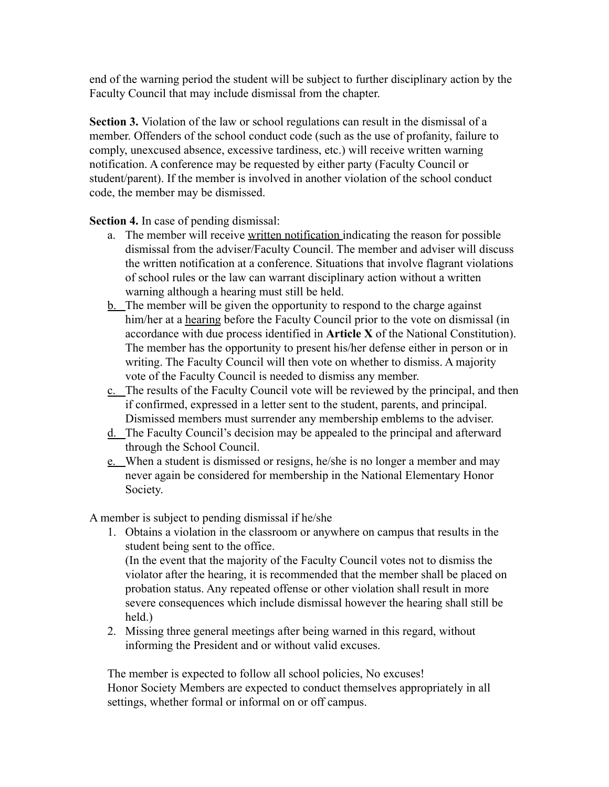end of the warning period the student will be subject to further disciplinary action by the Faculty Council that may include dismissal from the chapter.

**Section 3.** Violation of the law or school regulations can result in the dismissal of a member. Offenders of the school conduct code (such as the use of profanity, failure to comply, unexcused absence, excessive tardiness, etc.) will receive written warning notification. A conference may be requested by either party (Faculty Council or student/parent). If the member is involved in another violation of the school conduct code, the member may be dismissed.

**Section 4.** In case of pending dismissal:

- a. The member will receive written notification indicating the reason for possible dismissal from the adviser/Faculty Council. The member and adviser will discuss the written notification at a conference. Situations that involve flagrant violations of school rules or the law can warrant disciplinary action without a written warning although a hearing must still be held.
- b. The member will be given the opportunity to respond to the charge against him/her at a hearing before the Faculty Council prior to the vote on dismissal (in accordance with due process identified in **Article X** of the National Constitution). The member has the opportunity to present his/her defense either in person or in writing. The Faculty Council will then vote on whether to dismiss. A majority vote of the Faculty Council is needed to dismiss any member.
- c. The results of the Faculty Council vote will be reviewed by the principal, and then if confirmed, expressed in a letter sent to the student, parents, and principal. Dismissed members must surrender any membership emblems to the adviser.
- d. The Faculty Council's decision may be appealed to the principal and afterward through the School Council.
- e. When a student is dismissed or resigns, he/she is no longer a member and may never again be considered for membership in the National Elementary Honor Society.

A member is subject to pending dismissal if he/she

- 1. Obtains a violation in the classroom or anywhere on campus that results in the student being sent to the office. (In the event that the majority of the Faculty Council votes not to dismiss the violator after the hearing, it is recommended that the member shall be placed on probation status. Any repeated offense or other violation shall result in more severe consequences which include dismissal however the hearing shall still be held.)
- 2. Missing three general meetings after being warned in this regard, without informing the President and or without valid excuses.

The member is expected to follow all school policies, No excuses! Honor Society Members are expected to conduct themselves appropriately in all settings, whether formal or informal on or off campus.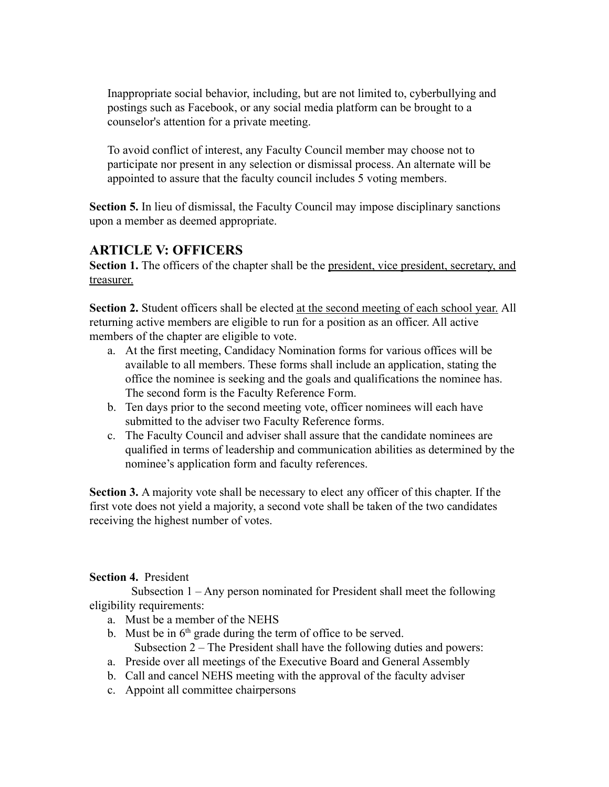Inappropriate social behavior, including, but are not limited to, cyberbullying and postings such as Facebook, or any social media platform can be brought to a counselor's attention for a private meeting.

To avoid conflict of interest, any Faculty Council member may choose not to participate nor present in any selection or dismissal process. An alternate will be appointed to assure that the faculty council includes 5 voting members.

**Section 5.** In lieu of dismissal, the Faculty Council may impose disciplinary sanctions upon a member as deemed appropriate.

#### **ARTICLE V: OFFICERS**

**Section 1.** The officers of the chapter shall be the president, vice president, secretary, and treasurer.

**Section 2.** Student officers shall be elected at the second meeting of each school year. All returning active members are eligible to run for a position as an officer. All active members of the chapter are eligible to vote.

- a. At the first meeting, Candidacy Nomination forms for various offices will be available to all members. These forms shall include an application, stating the office the nominee is seeking and the goals and qualifications the nominee has. The second form is the Faculty Reference Form.
- b. Ten days prior to the second meeting vote, officer nominees will each have submitted to the adviser two Faculty Reference forms.
- c. The Faculty Council and adviser shall assure that the candidate nominees are qualified in terms of leadership and communication abilities as determined by the nominee's application form and faculty references.

**Section 3.** A majority vote shall be necessary to elect any officer of this chapter. If the first vote does not yield a majority, a second vote shall be taken of the two candidates receiving the highest number of votes.

#### **Section 4.** President

Subsection 1 – Any person nominated for President shall meet the following eligibility requirements:

- a. Must be a member of the NEHS
- b. Must be in  $6<sup>th</sup>$  grade during the term of office to be served. Subsection 2 – The President shall have the following duties and powers:
- a. Preside over all meetings of the Executive Board and General Assembly
- b. Call and cancel NEHS meeting with the approval of the faculty adviser
- c. Appoint all committee chairpersons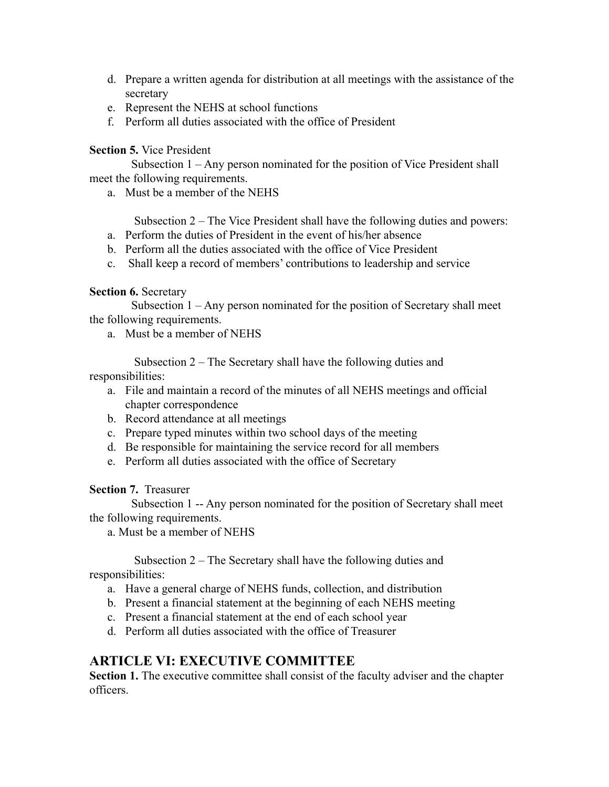- d. Prepare a written agenda for distribution at all meetings with the assistance of the secretary
- e. Represent the NEHS at school functions
- f. Perform all duties associated with the office of President

#### **Section 5.** Vice President

Subsection 1 – Any person nominated for the position of Vice President shall meet the following requirements.

a. Must be a member of the NEHS

Subsection 2 – The Vice President shall have the following duties and powers:

- a. Perform the duties of President in the event of his/her absence
- b. Perform all the duties associated with the office of Vice President
- c. Shall keep a record of members' contributions to leadership and service

#### **Section 6.** Secretary

Subsection 1 – Any person nominated for the position of Secretary shall meet the following requirements.

a. Must be a member of NEHS

Subsection 2 – The Secretary shall have the following duties and responsibilities:

- a. File and maintain a record of the minutes of all NEHS meetings and official chapter correspondence
- b. Record attendance at all meetings
- c. Prepare typed minutes within two school days of the meeting
- d. Be responsible for maintaining the service record for all members
- e. Perform all duties associated with the office of Secretary

#### **Section 7.** Treasurer

Subsection 1 -- Any person nominated for the position of Secretary shall meet the following requirements.

a. Must be a member of NEHS

Subsection 2 – The Secretary shall have the following duties and responsibilities:

- a. Have a general charge of NEHS funds, collection, and distribution
- b. Present a financial statement at the beginning of each NEHS meeting
- c. Present a financial statement at the end of each school year
- d. Perform all duties associated with the office of Treasurer

# **ARTICLE VI: EXECUTIVE COMMITTEE**

Section 1. The executive committee shall consist of the faculty adviser and the chapter officers.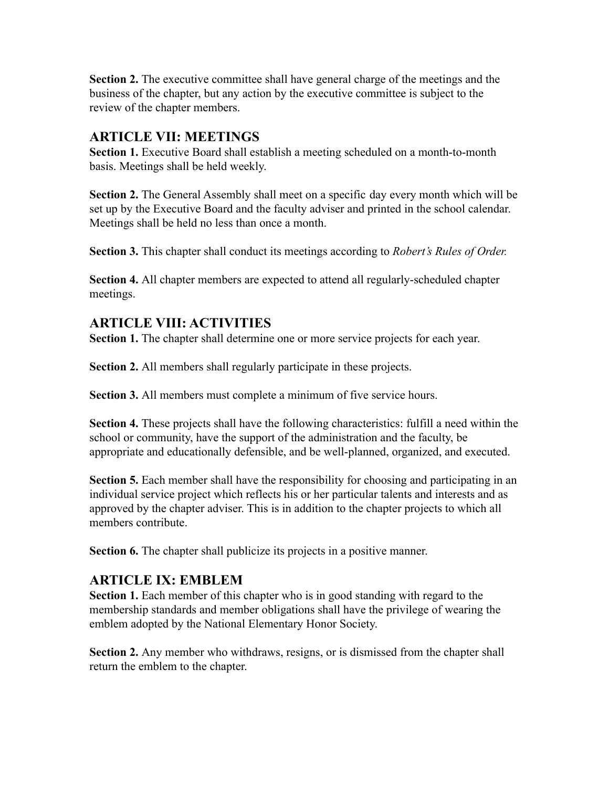**Section 2.** The executive committee shall have general charge of the meetings and the business of the chapter, but any action by the executive committee is subject to the review of the chapter members.

### **ARTICLE VII: MEETINGS**

**Section 1.** Executive Board shall establish a meeting scheduled on a month-to-month basis. Meetings shall be held weekly.

**Section 2.** The General Assembly shall meet on a specific day every month which will be set up by the Executive Board and the faculty adviser and printed in the school calendar. Meetings shall be held no less than once a month.

**Section 3.** This chapter shall conduct its meetings according to *Robert's Rules of Order.*

**Section 4.** All chapter members are expected to attend all regularly-scheduled chapter meetings.

# **ARTICLE VIII: ACTIVITIES**

**Section 1.** The chapter shall determine one or more service projects for each year.

**Section 2.** All members shall regularly participate in these projects.

**Section 3.** All members must complete a minimum of five service hours.

**Section 4.** These projects shall have the following characteristics: fulfill a need within the school or community, have the support of the administration and the faculty, be appropriate and educationally defensible, and be well-planned, organized, and executed.

**Section 5.** Each member shall have the responsibility for choosing and participating in an individual service project which reflects his or her particular talents and interests and as approved by the chapter adviser. This is in addition to the chapter projects to which all members contribute.

**Section 6.** The chapter shall publicize its projects in a positive manner.

# **ARTICLE IX: EMBLEM**

**Section 1.** Each member of this chapter who is in good standing with regard to the membership standards and member obligations shall have the privilege of wearing the emblem adopted by the National Elementary Honor Society.

**Section 2.** Any member who withdraws, resigns, or is dismissed from the chapter shall return the emblem to the chapter.